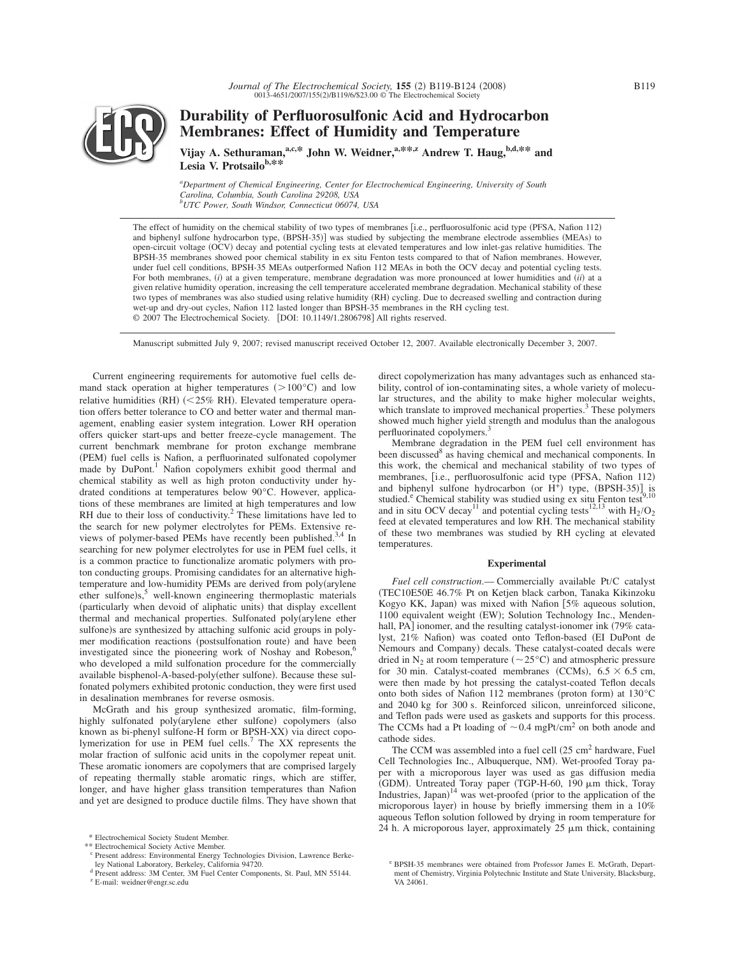

**Durability of Perfluorosulfonic Acid and Hydrocarbon Membranes: Effect of Humidity and Temperature**

Vijay A. Sethuraman,<sup>a,c,\*</sup> John W. Weidner,<sup>a,\*\*,z</sup> Andrew T. Haug,<sup>b,d,\*\*</sup> and Lesia V. Protsailo<sup>b,\*\*</sup>

*a Department of Chemical Engineering, Center for Electrochemical Engineering, University of South Carolina, Columbia, South Carolina 29208, USA b UTC Power, South Windsor, Connecticut 06074, USA*

The effect of humidity on the chemical stability of two types of membranes [i.e., perfluorosulfonic acid type (PFSA, Nafion 112) and biphenyl sulfone hydrocarbon type, (BPSH-35)] was studied by subjecting the membrane electrode assemblies (MEAs) to open-circuit voltage (OCV) decay and potential cycling tests at elevated temperatures and low inlet-gas relative humidities. The BPSH-35 membranes showed poor chemical stability in ex situ Fenton tests compared to that of Nafion membranes. However, under fuel cell conditions, BPSH-35 MEAs outperformed Nafion 112 MEAs in both the OCV decay and potential cycling tests. For both membranes, (i) at a given temperature, membrane degradation was more pronounced at lower humidities and (ii) at a given relative humidity operation, increasing the cell temperature accelerated membrane degradation. Mechanical stability of these two types of membranes was also studied using relative humidity (RH) cycling. Due to decreased swelling and contraction during wet-up and dry-out cycles, Nafion 112 lasted longer than BPSH-35 membranes in the RH cycling test. © 2007 The Electrochemical Society. [DOI: 10.1149/1.2806798] All rights reserved.

Manuscript submitted July 9, 2007; revised manuscript received October 12, 2007. Available electronically December 3, 2007.

Current engineering requirements for automotive fuel cells demand stack operation at higher temperatures  $(>100^{\circ}C)$  and low relative humidities (RH) (<25% RH). Elevated temperature operation offers better tolerance to CO and better water and thermal management, enabling easier system integration. Lower RH operation offers quicker start-ups and better freeze-cycle management. The current benchmark membrane for proton exchange membrane (PEM) fuel cells is Nafion, a perfluorinated sulfonated copolymer made by DuPont.<sup>1</sup> Nafion copolymers exhibit good thermal and chemical stability as well as high proton conductivity under hydrated conditions at temperatures below 90°C. However, applications of these membranes are limited at high temperatures and low RH due to their loss of conductivity.<sup>2</sup> These limitations have led to the search for new polymer electrolytes for PEMs. Extensive reviews of polymer-based PEMs have recently been published.<sup>3,4</sup> In searching for new polymer electrolytes for use in PEM fuel cells, it is a common practice to functionalize aromatic polymers with proton conducting groups. Promising candidates for an alternative hightemperature and low-humidity PEMs are derived from poly(arylene ether sulfone)s,<sup>5</sup> well-known engineering thermoplastic materials (particularly when devoid of aliphatic units) that display excellent thermal and mechanical properties. Sulfonated poly(arylene ether sulfone)s are synthesized by attaching sulfonic acid groups in polymer modification reactions (postsulfonation route) and have been investigated since the pioneering work of Noshay and Robeson,<sup>6</sup> who developed a mild sulfonation procedure for the commercially available bisphenol-A-based-poly(ether sulfone). Because these sulfonated polymers exhibited protonic conduction, they were first used in desalination membranes for reverse osmosis.

McGrath and his group synthesized aromatic, film-forming, highly sulfonated poly(arylene ether sulfone) copolymers (also known as bi-phenyl sulfone-H form or BPSH-XX) via direct copolymerization for use in PEM fuel cells.7 The XX represents the molar fraction of sulfonic acid units in the copolymer repeat unit. These aromatic ionomers are copolymers that are comprised largely of repeating thermally stable aromatic rings, which are stiffer, longer, and have higher glass transition temperatures than Nafion and yet are designed to produce ductile films. They have shown that

direct copolymerization has many advantages such as enhanced stability, control of ion-contaminating sites, a whole variety of molecular structures, and the ability to make higher molecular weights, which translate to improved mechanical properties.<sup>3</sup> These polymers showed much higher yield strength and modulus than the analogous perfluorinated copolymers.<sup>3</sup>

Membrane degradation in the PEM fuel cell environment has been discussed<sup>8</sup> as having chemical and mechanical components. In this work, the chemical and mechanical stability of two types of membranes, [i.e., perfluorosulfonic acid type (PFSA, Nafion 112) and biphenyl sulfone hydrocarbon (or  $H^+$ ) type, (BPSH-35)] is studied.<sup>e</sup> Chemical stability was studied using ex situ Fenton test<sup>9,10</sup> and in situ OCV decay<sup>11</sup> and potential cycling tests<sup>12,13</sup> with  $H_2/O_2$ feed at elevated temperatures and low RH. The mechanical stability of these two membranes was studied by RH cycling at elevated temperatures.

# **Experimental**

*Fuel cell construction*.— Commercially available Pt/C catalyst (TEC10E50E 46.7% Pt on Ketjen black carbon, Tanaka Kikinzoku Kogyo KK, Japan) was mixed with Nafion  $[5%$  aqueous solution, 1100 equivalent weight (EW); Solution Technology Inc., Mendenhall, PA] ionomer, and the resulting catalyst-ionomer ink (79% catalyst, 21% Nafion) was coated onto Teflon-based (EI DuPont de Nemours and Company) decals. These catalyst-coated decals were dried in  $N_2$  at room temperature ( $\sim$ 25°C) and atmospheric pressure for 30 min. Catalyst-coated membranes (CCMs),  $6.5 \times 6.5$  cm, were then made by hot pressing the catalyst-coated Teflon decals onto both sides of Nafion 112 membranes (proton form) at 130°C and 2040 kg for 300 s. Reinforced silicon, unreinforced silicone, and Teflon pads were used as gaskets and supports for this process. The CCMs had a Pt loading of  $\sim 0.4$  mgPt/cm<sup>2</sup> on both anode and cathode sides.

The CCM was assembled into a fuel cell  $(25 \text{ cm}^2 \text{ hardware}, \text{Fuel})$ Cell Technologies Inc., Albuquerque, NM). Wet-proofed Toray paper with a microporous layer was used as gas diffusion media (GDM). Untreated Toray paper (TGP-H-60, 190 µm thick, Toray Industries, Japan)<sup>14</sup> was wet-proofed (prior to the application of the microporous layer) in house by briefly immersing them in a 10% aqueous Teflon solution followed by drying in room temperature for 24 h. A microporous layer, approximately  $25 \mu m$  thick, containing

<sup>\*</sup> Electrochemical Society Student Member.

<sup>\*\*</sup> Electrochemical Society Active Member.

<sup>c</sup> Present address: Environmental Energy Technologies Division, Lawrence Berke-ley National Laboratory, Berkeley, California 94720.

<sup>d</sup> Present address: 3M Center, 3M Fuel Center Components, St. Paul, MN 55144. <sup>z</sup> E-mail: weidner@engr.sc.edu

<sup>e</sup> BPSH-35 membranes were obtained from Professor James E. McGrath, Department of Chemistry, Virginia Polytechnic Institute and State University, Blacksburg, VA 24061.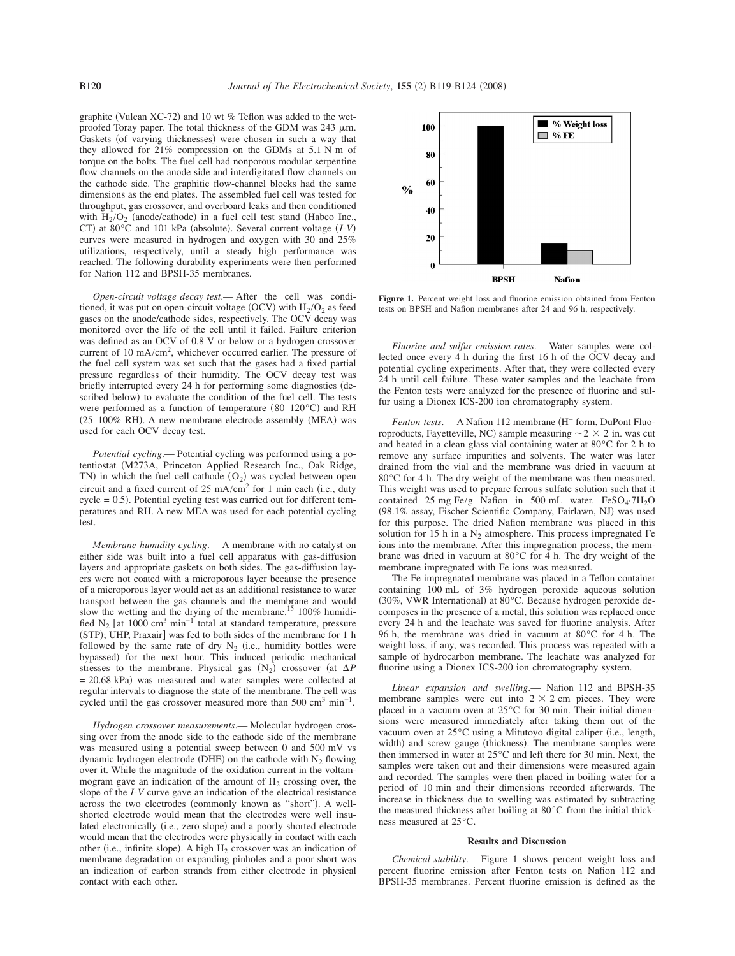graphite (Vulcan XC-72) and 10 wt  $%$  Teflon was added to the wetproofed Toray paper. The total thickness of the GDM was  $243 \mu m$ . Gaskets (of varying thicknesses) were chosen in such a way that they allowed for 21% compression on the GDMs at 5.1 N m of torque on the bolts. The fuel cell had nonporous modular serpentine flow channels on the anode side and interdigitated flow channels on the cathode side. The graphitic flow-channel blocks had the same dimensions as the end plates. The assembled fuel cell was tested for throughput, gas crossover, and overboard leaks and then conditioned with  $H_2/O_2$  (anode/cathode) in a fuel cell test stand (Habco Inc., CT) at 80°C and 101 kPa (absolute). Several current-voltage (*I-V*) curves were measured in hydrogen and oxygen with 30 and 25% utilizations, respectively, until a steady high performance was reached. The following durability experiments were then performed for Nafion 112 and BPSH-35 membranes.

*Open-circuit voltage decay test*.— After the cell was conditioned, it was put on open-circuit voltage (OCV) with  $H_2/O_2$  as feed gases on the anode/cathode sides, respectively. The OCV decay was monitored over the life of the cell until it failed. Failure criterion was defined as an OCV of 0.8 V or below or a hydrogen crossover current of 10 mA/cm2, whichever occurred earlier. The pressure of the fuel cell system was set such that the gases had a fixed partial pressure regardless of their humidity. The OCV decay test was briefly interrupted every 24 h for performing some diagnostics (described below) to evaluate the condition of the fuel cell. The tests were performed as a function of temperature  $(80-120\degree C)$  and RH (25-100% RH). A new membrane electrode assembly (MEA) was used for each OCV decay test.

*Potential cycling*.— Potential cycling was performed using a potentiostat (M273A, Princeton Applied Research Inc., Oak Ridge, TN) in which the fuel cell cathode  $(O_2)$  was cycled between open circuit and a fixed current of  $25 \text{ mA/cm}^2$  for 1 min each (i.e., duty cycle = 0.5. Potential cycling test was carried out for different temperatures and RH. A new MEA was used for each potential cycling test.

*Membrane humidity cycling*.— A membrane with no catalyst on either side was built into a fuel cell apparatus with gas-diffusion layers and appropriate gaskets on both sides. The gas-diffusion layers were not coated with a microporous layer because the presence of a microporous layer would act as an additional resistance to water transport between the gas channels and the membrane and would slow the wetting and the drying of the membrane.<sup>15</sup> 100% humidified N<sub>2</sub> [at 1000 cm<sup>3</sup> min<sup>-1</sup> total at standard temperature, pressure (STP); UHP, Praxair] was fed to both sides of the membrane for 1 h followed by the same rate of dry  $N_2$  (i.e., humidity bottles were bypassed) for the next hour. This induced periodic mechanical stresses to the membrane. Physical gas  $(N_2)$  crossover (at  $\Delta P$  $= 20.68$  kPa) was measured and water samples were collected at regular intervals to diagnose the state of the membrane. The cell was cycled until the gas crossover measured more than 500 cm<sup>3</sup> min<sup>-1</sup>.

*Hydrogen crossover measurements*.— Molecular hydrogen crossing over from the anode side to the cathode side of the membrane was measured using a potential sweep between 0 and 500 mV vs dynamic hydrogen electrode (DHE) on the cathode with  $N_2$  flowing over it. While the magnitude of the oxidation current in the voltammogram gave an indication of the amount of  $H_2$  crossing over, the slope of the *I*-*V* curve gave an indication of the electrical resistance across the two electrodes (commonly known as "short"). A wellshorted electrode would mean that the electrodes were well insulated electronically (i.e., zero slope) and a poorly shorted electrode would mean that the electrodes were physically in contact with each other (i.e., infinite slope). A high  $H_2$  crossover was an indication of membrane degradation or expanding pinholes and a poor short was an indication of carbon strands from either electrode in physical contact with each other.



**Figure 1.** Percent weight loss and fluorine emission obtained from Fenton tests on BPSH and Nafion membranes after 24 and 96 h, respectively.

*Fluorine and sulfur emission rates*.— Water samples were collected once every 4 h during the first 16 h of the OCV decay and potential cycling experiments. After that, they were collected every 24 h until cell failure. These water samples and the leachate from the Fenton tests were analyzed for the presence of fluorine and sulfur using a Dionex ICS-200 ion chromatography system.

Fenton tests.— A Nafion 112 membrane (H<sup>+</sup> form, DuPont Fluoroproducts, Fayetteville, NC) sample measuring  $\sim$  2  $\times$  2 in. was cut and heated in a clean glass vial containing water at 80°C for 2 h to remove any surface impurities and solvents. The water was later drained from the vial and the membrane was dried in vacuum at 80°C for 4 h. The dry weight of the membrane was then measured. This weight was used to prepare ferrous sulfate solution such that it contained 25 mg Fe/g Nafion in 500 mL water.  $FeSO_4·7H_2O$ -98.1% assay, Fischer Scientific Company, Fairlawn, NJ was used for this purpose. The dried Nafion membrane was placed in this solution for 15 h in a  $N_2$  atmosphere. This process impregnated Fe ions into the membrane. After this impregnation process, the membrane was dried in vacuum at 80°C for 4 h. The dry weight of the membrane impregnated with Fe ions was measured.

The Fe impregnated membrane was placed in a Teflon container containing 100 mL of 3% hydrogen peroxide aqueous solution (30%, VWR International) at 80°C. Because hydrogen peroxide decomposes in the presence of a metal, this solution was replaced once every 24 h and the leachate was saved for fluorine analysis. After 96 h, the membrane was dried in vacuum at 80°C for 4 h. The weight loss, if any, was recorded. This process was repeated with a sample of hydrocarbon membrane. The leachate was analyzed for fluorine using a Dionex ICS-200 ion chromatography system.

*Linear expansion and swelling*.— Nafion 112 and BPSH-35 membrane samples were cut into  $2 \times 2$  cm pieces. They were placed in a vacuum oven at 25°C for 30 min. Their initial dimensions were measured immediately after taking them out of the vacuum oven at 25 °C using a Mitutoyo digital caliper (i.e., length, width) and screw gauge (thickness). The membrane samples were then immersed in water at 25°C and left there for 30 min. Next, the samples were taken out and their dimensions were measured again and recorded. The samples were then placed in boiling water for a period of 10 min and their dimensions recorded afterwards. The increase in thickness due to swelling was estimated by subtracting the measured thickness after boiling at 80°C from the initial thickness measured at 25°C.

## **Results and Discussion**

*Chemical stability*.— Figure 1 shows percent weight loss and percent fluorine emission after Fenton tests on Nafion 112 and BPSH-35 membranes. Percent fluorine emission is defined as the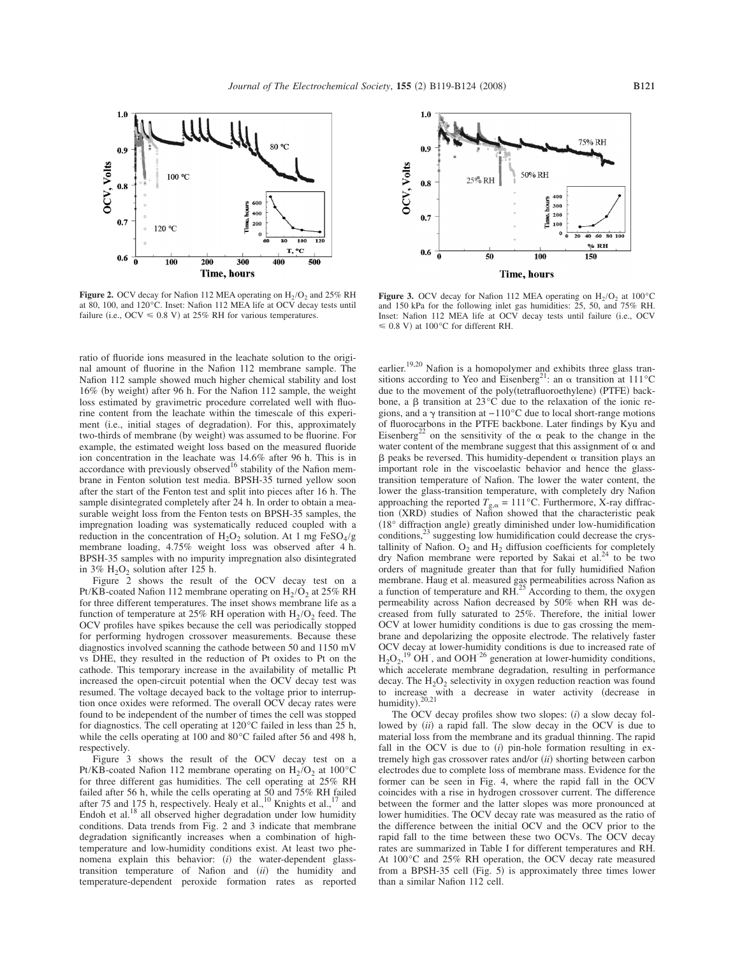

**Figure 2.** OCV decay for Nafion 112 MEA operating on  $H_2/O_2$  and 25% RH at 80, 100, and 120°C. Inset: Nafion 112 MEA life at OCV decay tests until failure (i.e., OCV  $\leq 0.8$  V) at 25% RH for various temperatures.

ratio of fluoride ions measured in the leachate solution to the original amount of fluorine in the Nafion 112 membrane sample. The Nafion 112 sample showed much higher chemical stability and lost 16% (by weight) after 96 h. For the Nafion 112 sample, the weight loss estimated by gravimetric procedure correlated well with fluorine content from the leachate within the timescale of this experiment (i.e., initial stages of degradation). For this, approximately two-thirds of membrane (by weight) was assumed to be fluorine. For example, the estimated weight loss based on the measured fluoride ion concentration in the leachate was 14.6% after 96 h. This is in accordance with previously observed<sup>16</sup> stability of the Nafion membrane in Fenton solution test media. BPSH-35 turned yellow soon after the start of the Fenton test and split into pieces after 16 h. The sample disintegrated completely after 24 h. In order to obtain a measurable weight loss from the Fenton tests on BPSH-35 samples, the impregnation loading was systematically reduced coupled with a reduction in the concentration of  $H_2O_2$  solution. At 1 mg FeSO<sub>4</sub>/g membrane loading, 4.75% weight loss was observed after 4 h. BPSH-35 samples with no impurity impregnation also disintegrated in 3%  $H_2O_2$  solution after 125 h.

Figure 2 shows the result of the OCV decay test on a Pt/KB-coated Nafion 112 membrane operating on  $H_2/O_2$  at 25% RH for three different temperatures. The inset shows membrane life as a function of temperature at 25% RH operation with  $H_2/O_2$  feed. The OCV profiles have spikes because the cell was periodically stopped for performing hydrogen crossover measurements. Because these diagnostics involved scanning the cathode between 50 and 1150 mV vs DHE, they resulted in the reduction of Pt oxides to Pt on the cathode. This temporary increase in the availability of metallic Pt increased the open-circuit potential when the OCV decay test was resumed. The voltage decayed back to the voltage prior to interruption once oxides were reformed. The overall OCV decay rates were found to be independent of the number of times the cell was stopped for diagnostics. The cell operating at 120°C failed in less than 25 h, while the cells operating at 100 and 80°C failed after 56 and 498 h, respectively.

Figure 3 shows the result of the OCV decay test on a Pt/KB-coated Nafion 112 membrane operating on  $H_2/O_2$  at 100°C for three different gas humidities. The cell operating at 25% RH failed after 56 h, while the cells operating at 50 and 75% RH failed after 75 and 175 h, respectively. Healy et al.,<sup>10</sup> Knights et al.,<sup>17</sup> and Endoh et al.<sup>18</sup> all observed higher degradation under low humidity conditions. Data trends from Fig. 2 and 3 indicate that membrane degradation significantly increases when a combination of hightemperature and low-humidity conditions exist. At least two phenomena explain this behavior: (i) the water-dependent glasstransition temperature of Nafion and (ii) the humidity and temperature-dependent peroxide formation rates as reported



**Figure 3.** OCV decay for Nafion 112 MEA operating on  $H_2/O_2$  at 100°C and 150 kPa for the following inlet gas humidities: 25, 50, and 75% RH. Inset: Nafion 112 MEA life at OCV decay tests until failure (i.e., OCV  $\leq 0.8$  V) at 100°C for different RH.

earlier.<sup>19,20</sup> Nafion is a homopolymer and exhibits three glass transitions according to Yeo and Eisenberg<sup>21</sup>: an  $\alpha$  transition at 111<sup>°</sup>C due to the movement of the poly(tetrafluoroethylene) (PTFE) backbone, a  $\beta$  transition at 23°C due to the relaxation of the ionic regions, and a  $\gamma$  transition at −110°C due to local short-range motions of fluorocarbons in the PTFE backbone. Later findings by Kyu and Eisenberg<sup>22</sup> on the sensitivity of the  $\alpha$  peak to the change in the water content of the membrane suggest that this assignment of  $\alpha$  and  $\beta$  peaks be reversed. This humidity-dependent  $\alpha$  transition plays an important role in the viscoelastic behavior and hence the glasstransition temperature of Nafion. The lower the water content, the lower the glass-transition temperature, with completely dry Nafion approaching the reported  $T_{g,\alpha} = 111^{\circ}$ C. Furthermore, X-ray diffraction (XRD) studies of Nafion showed that the characteristic peak (18° diffraction angle) greatly diminished under low-humidification conditions,<sup>23</sup> suggesting low humidification could decrease the crystallinity of Nafion.  $O_2$  and  $H_2$  diffusion coefficients for completely dry Nafion membrane were reported by Sakai et al.<sup>24</sup> to be two orders of magnitude greater than that for fully humidified Nafion membrane. Haug et al. measured gas permeabilities across Nafion as a function of temperature and RH.<sup>25</sup> According to them, the oxygen permeability across Nafion decreased by 50% when RH was decreased from fully saturated to 25%. Therefore, the initial lower OCV at lower humidity conditions is due to gas crossing the membrane and depolarizing the opposite electrode. The relatively faster OCV decay at lower-humidity conditions is due to increased rate of  $H_2O_2$ ,<sup>19</sup> OH<sup> $\cdot$ </sup>, and OOH<sup> $\cdot$ 26</sup> generation at lower-humidity conditions, which accelerate membrane degradation, resulting in performance decay. The  $H_2O_2$  selectivity in oxygen reduction reaction was found to increase with a decrease in water activity (decrease in humidity).<sup>20,21</sup>

The OCV decay profiles show two slopes:  $(i)$  a slow decay followed by (*ii*) a rapid fall. The slow decay in the OCV is due to material loss from the membrane and its gradual thinning. The rapid fall in the OCV is due to  $(i)$  pin-hole formation resulting in extremely high gas crossover rates and/or (ii) shorting between carbon electrodes due to complete loss of membrane mass. Evidence for the former can be seen in Fig. 4, where the rapid fall in the OCV coincides with a rise in hydrogen crossover current. The difference between the former and the latter slopes was more pronounced at lower humidities. The OCV decay rate was measured as the ratio of the difference between the initial OCV and the OCV prior to the rapid fall to the time between these two OCVs. The OCV decay rates are summarized in Table I for different temperatures and RH. At 100°C and 25% RH operation, the OCV decay rate measured from a BPSH-35 cell (Fig. 5) is approximately three times lower than a similar Nafion 112 cell.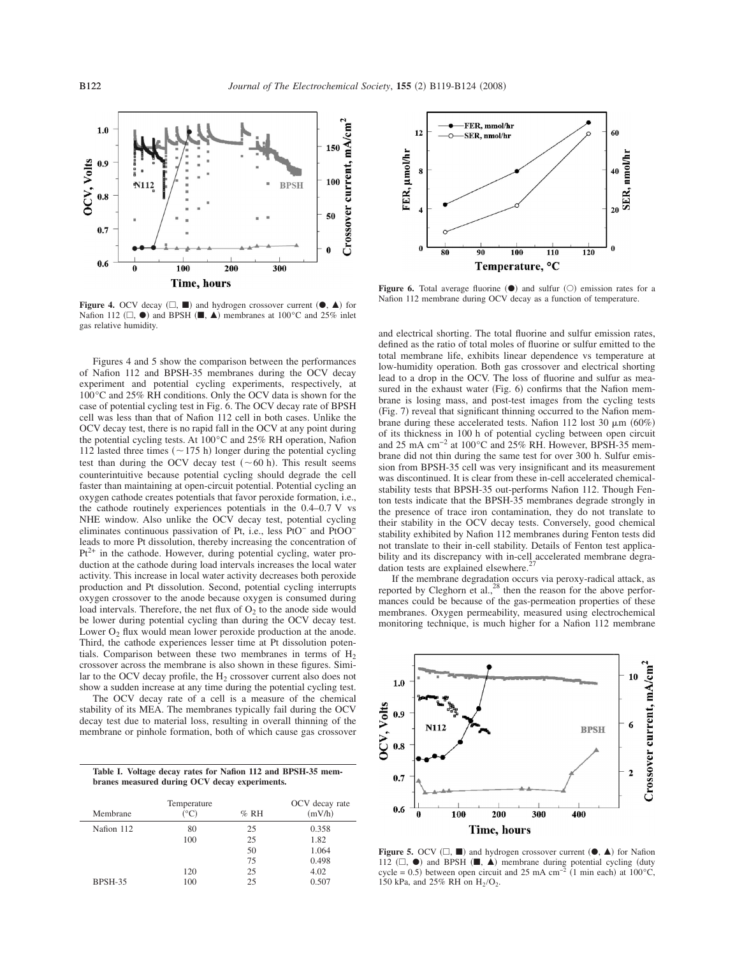

**Figure 4.** OCV decay  $(\square, \blacksquare)$  and hydrogen crossover current  $(\bullet, \blacktriangle)$  for Nafion 112 ( $\square$ ,  $\bullet$ ) and BPSH ( $\square$ ,  $\blacktriangle$ ) membranes at 100°C and 25% inlet gas relative humidity.

Figures 4 and 5 show the comparison between the performances of Nafion 112 and BPSH-35 membranes during the OCV decay experiment and potential cycling experiments, respectively, at 100°C and 25% RH conditions. Only the OCV data is shown for the case of potential cycling test in Fig. 6. The OCV decay rate of BPSH cell was less than that of Nafion 112 cell in both cases. Unlike the OCV decay test, there is no rapid fall in the OCV at any point during the potential cycling tests. At 100°C and 25% RH operation, Nafion 112 lasted three times ( $\sim$  175 h) longer during the potential cycling test than during the OCV decay test  $(\sim 60 \text{ h})$ . This result seems counterintuitive because potential cycling should degrade the cell faster than maintaining at open-circuit potential. Potential cycling an oxygen cathode creates potentials that favor peroxide formation, i.e., the cathode routinely experiences potentials in the 0.4–0.7 V vs NHE window. Also unlike the OCV decay test, potential cycling eliminates continuous passivation of Pt, i.e., less PtO<sup>−</sup> and PtOO<sup>−</sup> leads to more Pt dissolution, thereby increasing the concentration of  $Pt^{2+}$  in the cathode. However, during potential cycling, water production at the cathode during load intervals increases the local water activity. This increase in local water activity decreases both peroxide production and Pt dissolution. Second, potential cycling interrupts oxygen crossover to the anode because oxygen is consumed during load intervals. Therefore, the net flux of  $O<sub>2</sub>$  to the anode side would be lower during potential cycling than during the OCV decay test. Lower  $O_2$  flux would mean lower peroxide production at the anode. Third, the cathode experiences lesser time at Pt dissolution potentials. Comparison between these two membranes in terms of  $H<sub>2</sub>$ crossover across the membrane is also shown in these figures. Similar to the OCV decay profile, the  $H_2$  crossover current also does not show a sudden increase at any time during the potential cycling test.

The OCV decay rate of a cell is a measure of the chemical stability of its MEA. The membranes typically fail during the OCV decay test due to material loss, resulting in overall thinning of the membrane or pinhole formation, both of which cause gas crossover

**Table I. Voltage decay rates for Nafion 112 and BPSH-35 membranes measured during OCV decay experiments.**

| Membrane   | Temperature<br>$^{\circ}$ C) | $%$ RH | OCV decay rate<br>(mV/h) |
|------------|------------------------------|--------|--------------------------|
| Nafion 112 | 80                           | 25     | 0.358                    |
|            | 100                          | 25     | 1.82                     |
|            |                              | 50     | 1.064                    |
|            |                              | 75     | 0.498                    |
|            | 120                          | 25     | 4.02                     |
| BPSH-35    | 100                          | 25     | 0.507                    |



**Figure 6.** Total average fluorine  $(\bullet)$  and sulfur  $(\circ)$  emission rates for a Nafion 112 membrane during OCV decay as a function of temperature.

and electrical shorting. The total fluorine and sulfur emission rates, defined as the ratio of total moles of fluorine or sulfur emitted to the total membrane life, exhibits linear dependence vs temperature at low-humidity operation. Both gas crossover and electrical shorting lead to a drop in the OCV. The loss of fluorine and sulfur as measured in the exhaust water (Fig. 6) confirms that the Nafion membrane is losing mass, and post-test images from the cycling tests (Fig. 7) reveal that significant thinning occurred to the Nafion membrane during these accelerated tests. Nafion 112 lost 30  $\mu$ m (60%) of its thickness in 100 h of potential cycling between open circuit and 25 mA cm−2 at 100°C and 25% RH. However, BPSH-35 membrane did not thin during the same test for over 300 h. Sulfur emission from BPSH-35 cell was very insignificant and its measurement was discontinued. It is clear from these in-cell accelerated chemicalstability tests that BPSH-35 out-performs Nafion 112. Though Fenton tests indicate that the BPSH-35 membranes degrade strongly in the presence of trace iron contamination, they do not translate to their stability in the OCV decay tests. Conversely, good chemical stability exhibited by Nafion 112 membranes during Fenton tests did not translate to their in-cell stability. Details of Fenton test applicability and its discrepancy with in-cell accelerated membrane degradation tests are explained elsewhere.<sup>2</sup>

If the membrane degradation occurs via peroxy-radical attack, as reported by Cleghorn et al., $^{28}$  then the reason for the above performances could be because of the gas-permeation properties of these membranes. Oxygen permeability, measured using electrochemical monitoring technique, is much higher for a Nafion 112 membrane



**Figure 5.** OCV  $(\square, \blacksquare)$  and hydrogen crossover current  $(\blacklozenge, \blacktriangle)$  for Nafion 112  $(\Box, \bullet)$  and BPSH  $(\blacksquare, \blacktriangle)$  membrane during potential cycling (duty cycle = 0.5) between open circuit and 25 mA cm<sup>-2</sup> (1 min each) at 100°C, 150 kPa, and 25% RH on  $H_2/O_2$ .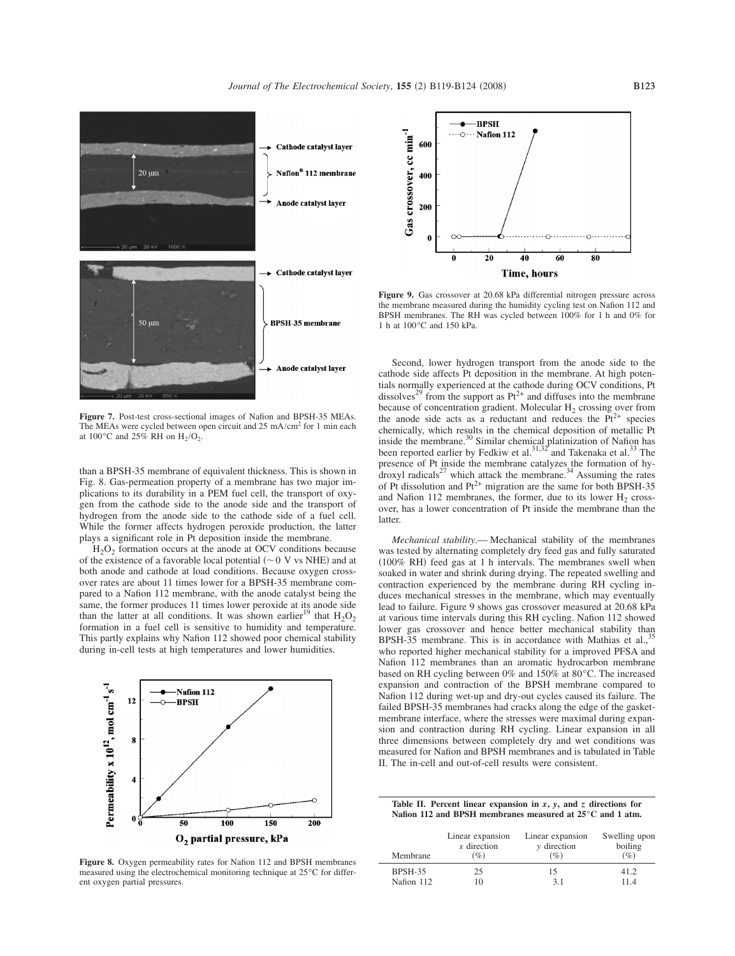

**Figure 7.** Post-test cross-sectional images of Nafion and BPSH-35 MEAs. The MEAs were cycled between open circuit and 25 mA/cm2 for 1 min each at 100 $^{\circ}$ C and 25% RH on H<sub>2</sub>/O<sub>2</sub>.

than a BPSH-35 membrane of equivalent thickness. This is shown in Fig. 8. Gas-permeation property of a membrane has two major implications to its durability in a PEM fuel cell, the transport of oxygen from the cathode side to the anode side and the transport of hydrogen from the anode side to the cathode side of a fuel cell. While the former affects hydrogen peroxide production, the latter plays a significant role in Pt deposition inside the membrane.

 $H<sub>2</sub>O<sub>2</sub>$  formation occurs at the anode at OCV conditions because of the existence of a favorable local potential  $(\sim 0 \, \text{V} \, \text{v} \, \text{s} \, \text{NHE})$  and at both anode and cathode at load conditions. Because oxygen crossover rates are about 11 times lower for a BPSH-35 membrane compared to a Nafion 112 membrane, with the anode catalyst being the same, the former produces 11 times lower peroxide at its anode side than the latter at all conditions. It was shown earlier<sup>19</sup> that  $H_2O_2$ formation in a fuel cell is sensitive to humidity and temperature. This partly explains why Nafion 112 showed poor chemical stability during in-cell tests at high temperatures and lower humidities.



**Figure 8.** Oxygen permeability rates for Nafion 112 and BPSH membranes measured using the electrochemical monitoring technique at 25°C for different oxygen partial pressures.



**Figure 9.** Gas crossover at 20.68 kPa differential nitrogen pressure across the membrane measured during the humidity cycling test on Nafion 112 and BPSH membranes. The RH was cycled between 100% for 1 h and 0% for 1 h at 100°C and 150 kPa.

Second, lower hydrogen transport from the anode side to the cathode side affects Pt deposition in the membrane. At high potentials normally experienced at the cathode during OCV conditions, Pt dissolves<sup>29</sup> from the support as  $Pt^{2+}$  and diffuses into the membrane because of concentration gradient. Molecular  $H_2$  crossing over from the anode side acts as a reductant and reduces the  $\tilde{Pt}^{2+}$  species chemically, which results in the chemical deposition of metallic Pt inside the membrane.<sup>30</sup> Similar chemical platinization of Nafion has been reported earlier by Fedkiw et al.<sup>31,32</sup> and Takenaka et al.<sup>33</sup> The presence of Pt inside the membrane catalyzes the formation of hydroxyl radicals<sup>27</sup> which attack the membrane.<sup>34</sup> Assuming the rates of Pt dissolution and  $Pt^{2+}$  migration are the same for both BPSH-35 and Nafion 112 membranes, the former, due to its lower  $H<sub>2</sub>$  crossover, has a lower concentration of Pt inside the membrane than the latter.

*Mechanical stability*.— Mechanical stability of the membranes was tested by alternating completely dry feed gas and fully saturated (100% RH) feed gas at 1 h intervals. The membranes swell when soaked in water and shrink during drying. The repeated swelling and contraction experienced by the membrane during RH cycling induces mechanical stresses in the membrane, which may eventually lead to failure. Figure 9 shows gas crossover measured at 20.68 kPa at various time intervals during this RH cycling. Nafion 112 showed lower gas crossover and hence better mechanical stability than BPSH-35 membrane. This is in accordance with Mathias et al.,<sup>35</sup> who reported higher mechanical stability for a improved PFSA and Nafion 112 membranes than an aromatic hydrocarbon membrane based on RH cycling between 0% and 150% at 80°C. The increased expansion and contraction of the BPSH membrane compared to Nafion 112 during wet-up and dry-out cycles caused its failure. The failed BPSH-35 membranes had cracks along the edge of the gasketmembrane interface, where the stresses were maximal during expansion and contraction during RH cycling. Linear expansion in all three dimensions between completely dry and wet conditions was measured for Nafion and BPSH membranes and is tabulated in Table II. The in-cell and out-of-cell results were consistent.

Table II. Percent linear expansion in  $x$ ,  $y$ , and  $z$  directions for **Nafion 112 and BPSH membranes measured at 25°C and 1 atm.**

| Membrane       | Linear expansion | Linear expansion | Swelling upon |
|----------------|------------------|------------------|---------------|
|                | $x$ direction    | $\nu$ direction  | boiling       |
|                | $(\%)$           | $(\%)$           | $(\%)$        |
| <b>BPSH-35</b> | 25               | 15               | 41.2          |
| Nafion 112     | 10               | 3.1              | 11.4          |